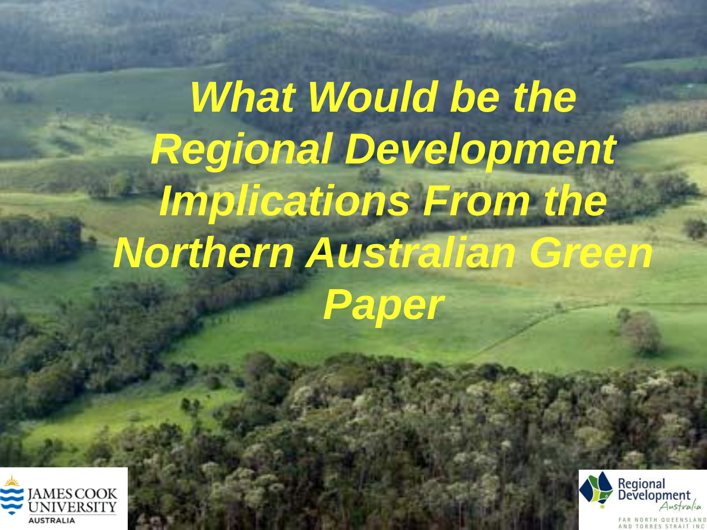**What Would be the** *Regional Development Implications From the Northern Australian Green Paper*



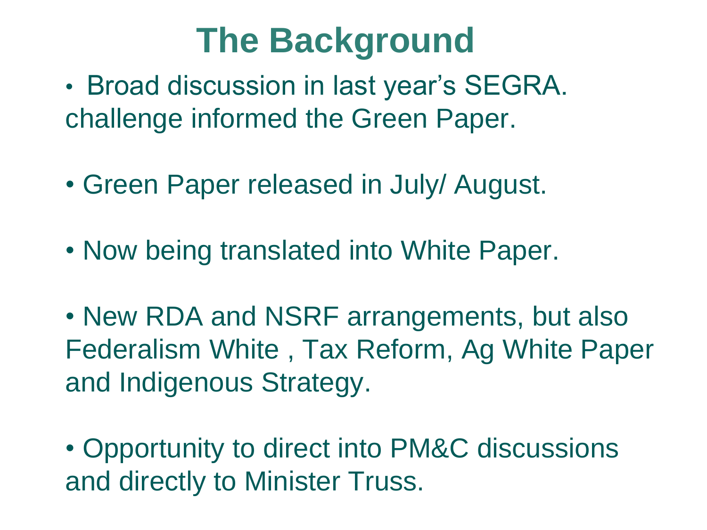### **The Background**

- Broad discussion in last year's SEGRA. challenge informed the Green Paper.
- Green Paper released in July/ August.
- Now being translated into White Paper.

• New RDA and NSRF arrangements, but also Federalism White , Tax Reform, Ag White Paper and Indigenous Strategy.

• Opportunity to direct into PM&C discussions and directly to Minister Truss.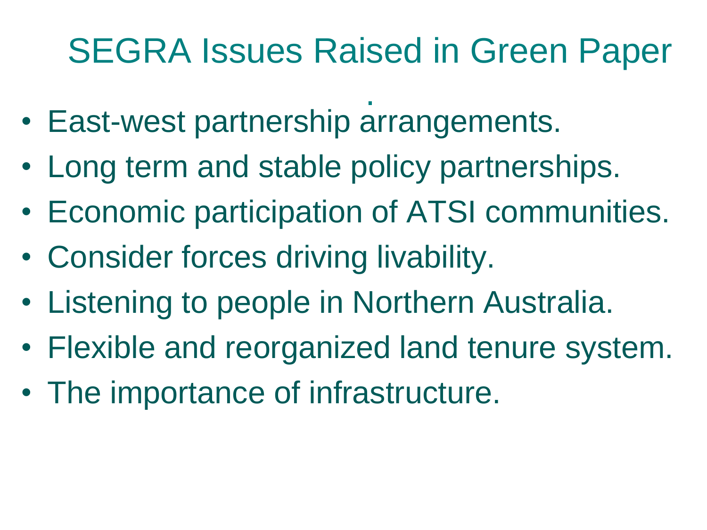## SEGRA Issues Raised in Green Paper

- . • East-west partnership arrangements.
- Long term and stable policy partnerships.
- Economic participation of ATSI communities.
- Consider forces driving livability.
- Listening to people in Northern Australia.
- Flexible and reorganized land tenure system.
- The importance of infrastructure.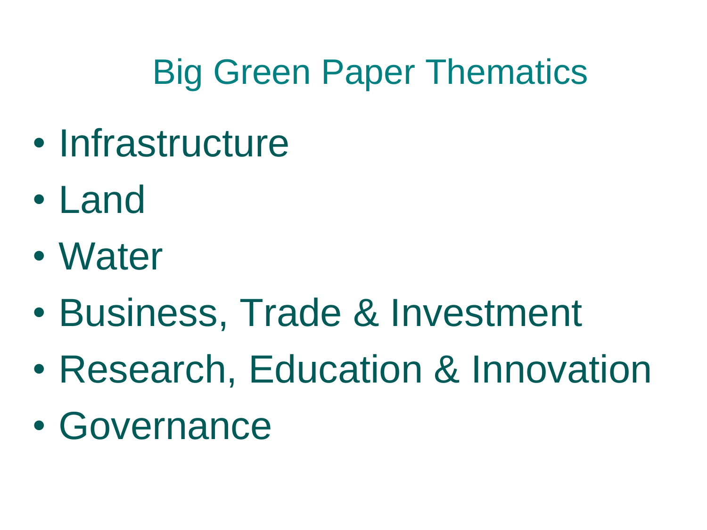# Big Green Paper Thematics

- Infrastructure
- Land
- Water
- Business, Trade & Investment
- Research, Education & Innovation
- Governance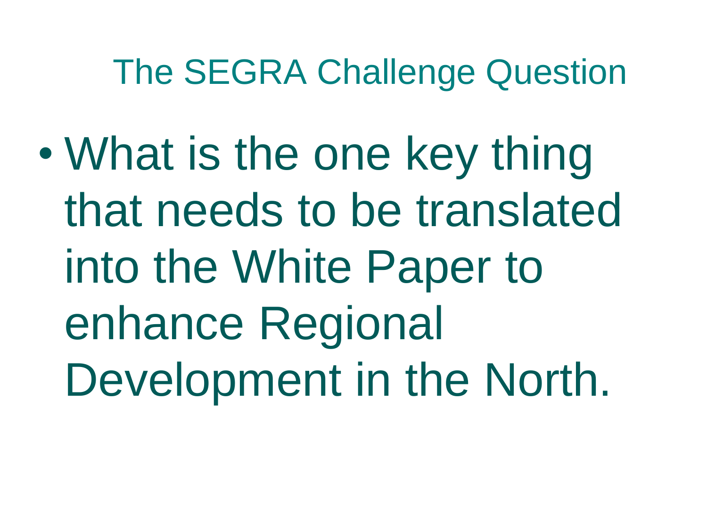#### The SEGRA Challenge Question

• What is the one key thing that needs to be translated into the White Paper to enhance Regional Development in the North.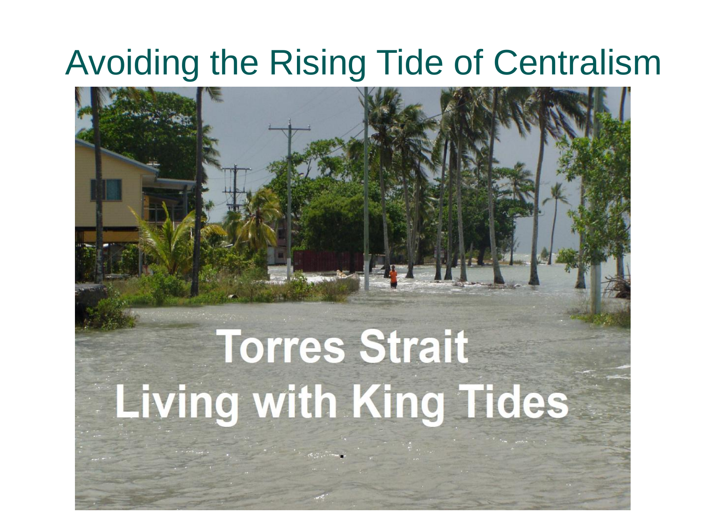#### Avoiding the Rising Tide of Centralism